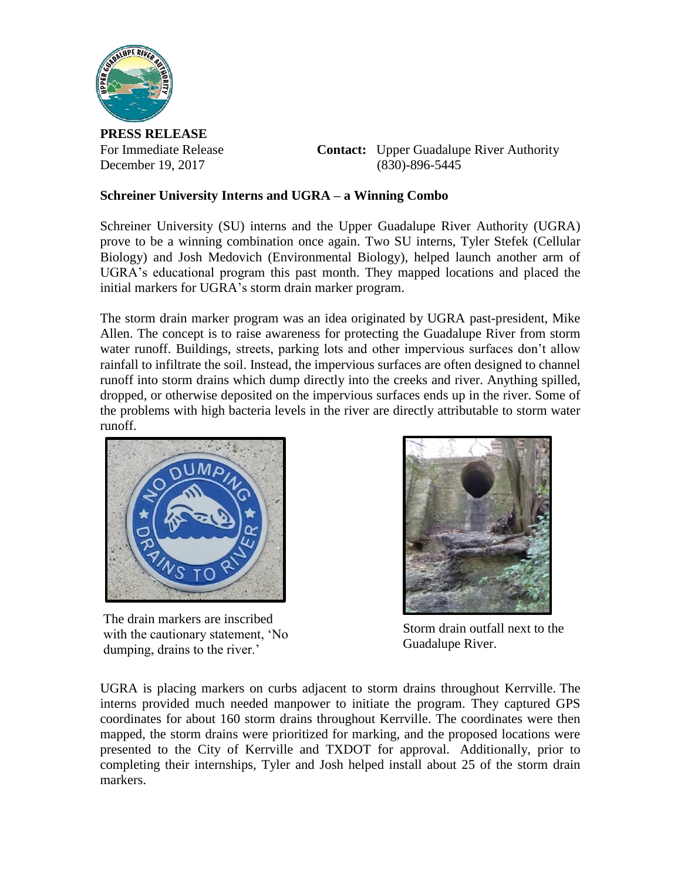

**PRESS RELEASE**

For Immediate Release **Contact:** Upper Guadalupe River Authority December 19, 2017 (830)-896-5445

## **Schreiner University Interns and UGRA – a Winning Combo**

Schreiner University (SU) interns and the Upper Guadalupe River Authority (UGRA) prove to be a winning combination once again. Two SU interns, Tyler Stefek (Cellular Biology) and Josh Medovich (Environmental Biology), helped launch another arm of UGRA's educational program this past month. They mapped locations and placed the initial markers for UGRA's storm drain marker program.

The storm drain marker program was an idea originated by UGRA past-president, Mike Allen. The concept is to raise awareness for protecting the Guadalupe River from storm water runoff. Buildings, streets, parking lots and other impervious surfaces don't allow rainfall to infiltrate the soil. Instead, the impervious surfaces are often designed to channel runoff into storm drains which dump directly into the creeks and river. Anything spilled, dropped, or otherwise deposited on the impervious surfaces ends up in the river. Some of the problems with high bacteria levels in the river are directly attributable to storm water runoff.



The drain markers are inscribed with the cautionary statement, 'No dumping, drains to the river.'



Storm drain outfall next to the Guadalupe River.

UGRA is placing markers on curbs adjacent to storm drains throughout Kerrville. The interns provided much needed manpower to initiate the program. They captured GPS coordinates for about 160 storm drains throughout Kerrville. The coordinates were then mapped, the storm drains were prioritized for marking, and the proposed locations were presented to the City of Kerrville and TXDOT for approval. Additionally, prior to completing their internships, Tyler and Josh helped install about 25 of the storm drain markers.